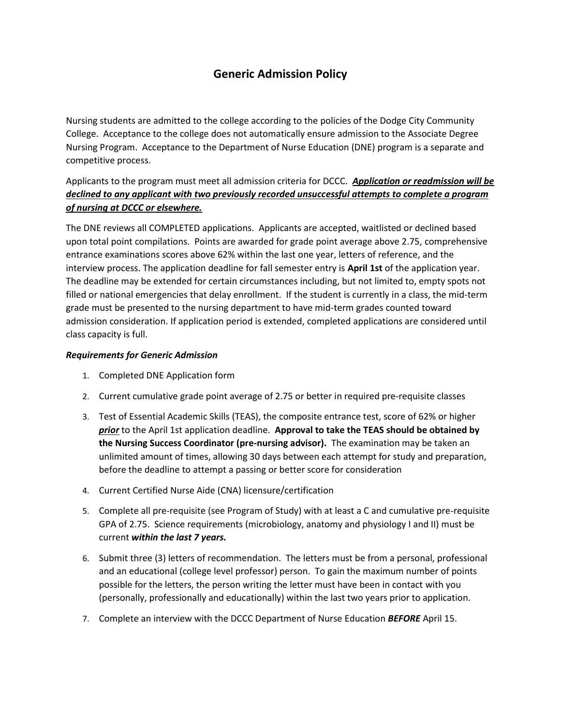## **Generic Admission Policy**

Nursing students are admitted to the college according to the policies of the Dodge City Community College. Acceptance to the college does not automatically ensure admission to the Associate Degree Nursing Program. Acceptance to the Department of Nurse Education (DNE) program is a separate and competitive process.

## Applicants to the program must meet all admission criteria for DCCC.*Application or readmission will be declined to any applicant with two previously recorded unsuccessful attempts to complete a program of nursing at DCCC or elsewhere.*

The DNE reviews all COMPLETED applications. Applicants are accepted, waitlisted or declined based upon total point compilations. Points are awarded for grade point average above 2.75, comprehensive entrance examinations scores above 62% within the last one year, letters of reference, and the interview process. The application deadline for fall semester entry is **April 1st** of the application year. The deadline may be extended for certain circumstances including, but not limited to, empty spots not filled or national emergencies that delay enrollment. If the student is currently in a class, the mid-term grade must be presented to the nursing department to have mid-term grades counted toward admission consideration. If application period is extended, completed applications are considered until class capacity is full.

## *Requirements for Generic Admission*

- 1. Completed DNE Application form
- 2. Current cumulative grade point average of 2.75 or better in required pre-requisite classes
- 3. Test of Essential Academic Skills (TEAS), the composite entrance test, score of 62% or higher *prior* to the April 1st application deadline. **Approval to take the TEAS should be obtained by the Nursing Success Coordinator (pre-nursing advisor).** The examination may be taken an unlimited amount of times, allowing 30 days between each attempt for study and preparation, before the deadline to attempt a passing or better score for consideration
- 4. Current Certified Nurse Aide (CNA) licensure/certification
- 5. Complete all pre-requisite (see Program of Study) with at least a C and cumulative pre-requisite GPA of 2.75. Science requirements (microbiology, anatomy and physiology I and II) must be current *within the last 7 years.*
- 6. Submit three (3) letters of recommendation. The letters must be from a personal, professional and an educational (college level professor) person. To gain the maximum number of points possible for the letters, the person writing the letter must have been in contact with you (personally, professionally and educationally) within the last two years prior to application.
- 7. Complete an interview with the DCCC Department of Nurse Education *BEFORE* April 15.